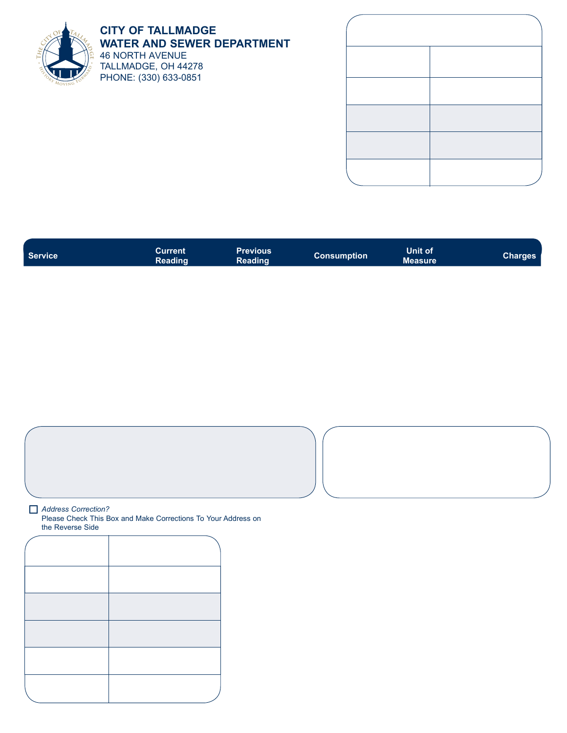

## **CITY OF TALLMADGE WATER AND SEWER DEPARTMENT** 46 NORTH AVENUE TALLMADGE, OH 44278 PHONE: (330) 633-0851

| <b>Service</b> | Current<br><b>Reading</b> | Previous<br>Reading | <b>Consumption</b> | Unit of<br><b>Measure</b> | Charges |
|----------------|---------------------------|---------------------|--------------------|---------------------------|---------|
|                |                           |                     |                    |                           |         |

|  | Address Correction? |
|--|---------------------|
|  |                     |

Please Check This Box and Make Corrections To Your Address on the Reverse Side